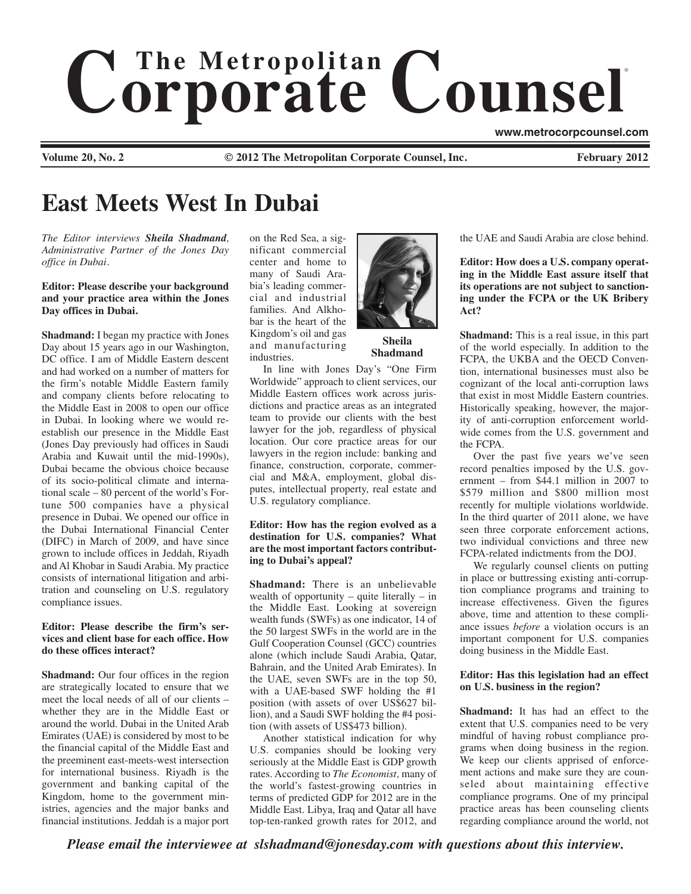# $$ ®

**www.metrocorpcounsel.com**

**Volume 20, No. 2 Cauca 2012 The Metropolitan Corporate Counsel, Inc.** February 2012

# **East Meets West In Dubai**

*The Editor interviews Sheila Shadmand, Administrative Partner of the Jones Day office in Dubai.*

#### **Editor: Please describe your background and your practice area within the Jones Day offices in Dubai.**

**Shadmand:** I began my practice with Jones Day about 15 years ago in our Washington, DC office. I am of Middle Eastern descent and had worked on a number of matters for the firm's notable Middle Eastern family and company clients before relocating to the Middle East in 2008 to open our office in Dubai. In looking where we would reestablish our presence in the Middle East (Jones Day previously had offices in Saudi Arabia and Kuwait until the mid-1990s), Dubai became the obvious choice because of its socio-political climate and international scale – 80 percent of the world's Fortune 500 companies have a physical presence in Dubai. We opened our office in the Dubai International Financial Center (DIFC) in March of 2009, and have since grown to include offices in Jeddah, Riyadh and Al Khobar in Saudi Arabia. My practice consists of international litigation and arbitration and counseling on U.S. regulatory compliance issues.

## **Editor: Please describe the firm's services and client base for each office. How do these offices interact?**

**Shadmand:** Our four offices in the region are strategically located to ensure that we meet the local needs of all of our clients – whether they are in the Middle East or around the world. Dubai in the United Arab Emirates (UAE) is considered by most to be the financial capital of the Middle East and the preeminent east-meets-west intersection for international business. Riyadh is the government and banking capital of the Kingdom, home to the government ministries, agencies and the major banks and financial institutions. Jeddah is a major port on the Red Sea, a significant commercial center and home to many of Saudi Arabia's leading commercial and industrial families. And Alkhobar is the heart of the Kingdom's oil and gas and manufacturing industries.



**Sheila Shadmand**

In line with Jones Day's "One Firm Worldwide" approach to client services, our Middle Eastern offices work across jurisdictions and practice areas as an integrated team to provide our clients with the best lawyer for the job, regardless of physical location. Our core practice areas for our lawyers in the region include: banking and finance, construction, corporate, commercial and M&A, employment, global disputes, intellectual property, real estate and U.S. regulatory compliance.

## **Editor: How has the region evolved as a destination for U.S. companies? What are the most important factors contributing to Dubai's appeal?**

**Shadmand:** There is an unbelievable wealth of opportunity – quite literally – in the Middle East. Looking at sovereign wealth funds (SWFs) as one indicator, 14 of the 50 largest SWFs in the world are in the Gulf Cooperation Counsel (GCC) countries alone (which include Saudi Arabia, Qatar, Bahrain, and the United Arab Emirates). In the UAE, seven SWFs are in the top 50, with a UAE-based SWF holding the #1 position (with assets of over US\$627 billion), and a Saudi SWF holding the #4 position (with assets of US\$473 billion).

Another statistical indication for why U.S. companies should be looking very seriously at the Middle East is GDP growth rates. According to *The Economist,* many of the world's fastest-growing countries in terms of predicted GDP for 2012 are in the Middle East. Libya, Iraq and Qatar all have top-ten-ranked growth rates for 2012, and the UAE and Saudi Arabia are close behind.

**Editor: How does a U.S. company operating in the Middle East assure itself that its operations are not subject to sanctioning under the FCPA or the UK Bribery Act?**

**Shadmand:** This is a real issue, in this part of the world especially. In addition to the FCPA, the UKBA and the OECD Convention, international businesses must also be cognizant of the local anti-corruption laws that exist in most Middle Eastern countries. Historically speaking, however, the majority of anti-corruption enforcement worldwide comes from the U.S. government and the FCPA.

Over the past five years we've seen record penalties imposed by the U.S. government – from \$44.1 million in 2007 to \$579 million and \$800 million most recently for multiple violations worldwide. In the third quarter of 2011 alone, we have seen three corporate enforcement actions, two individual convictions and three new FCPA-related indictments from the DOJ.

We regularly counsel clients on putting in place or buttressing existing anti-corruption compliance programs and training to increase effectiveness. Given the figures above, time and attention to these compliance issues *before* a violation occurs is an important component for U.S. companies doing business in the Middle East.

# **Editor: Has this legislation had an effect on U.S. business in the region?**

**Shadmand:** It has had an effect to the extent that U.S. companies need to be very mindful of having robust compliance programs when doing business in the region. We keep our clients apprised of enforcement actions and make sure they are counseled about maintaining effective compliance programs. One of my principal practice areas has been counseling clients regarding compliance around the world, not

*Please email the interviewee at slshadmand@jonesday.com with questions about this interview.*